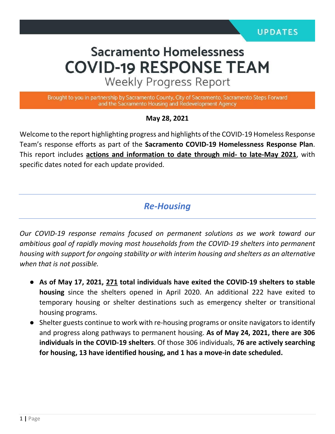# **Sacramento Homelessness COVID-19 RESPONSE TEAM**

**Weekly Progress Report** 

Brought to you in partnership by Sacramento County, City of Sacramento, Sacramento Steps Forward and the Sacramento Housing and Redevelopment Agency

**May 28, 2021**

Welcome to the report highlighting progress and highlights of the COVID-19 Homeless Response Team's response efforts as part of the **Sacramento COVID-19 Homelessness Response Plan**. This report includes **actions and information to date through mid- to late-May 2021**, with specific dates noted for each update provided.

*Re-Housing*

*Our COVID-19 response remains focused on permanent solutions as we work toward our ambitious goal of rapidly moving most households from the COVID-19 shelters into permanent housing with support for ongoing stability or with interim housing and shelters as an alternative when that is not possible.* 

- **As of May 17, 2021, 271 total individuals have exited the COVID-19 shelters to stable housing** since the shelters opened in April 2020. An additional 222 have exited to temporary housing or shelter destinations such as emergency shelter or transitional housing programs.
- Shelter guests continue to work with re-housing programs or onsite navigators to identify and progress along pathways to permanent housing. **As of May 24, 2021, there are 306 individuals in the COVID-19 shelters**. Of those 306 individuals, **76 are actively searching for housing, 13 have identified housing, and 1 has a move-in date scheduled.**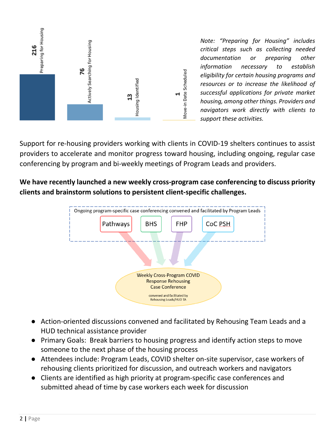

*Note: "Preparing for Housing" includes critical steps such as collecting needed documentation or preparing other information necessary to establish eligibility for certain housing programs and resources or to increase the likelihood of successful applications for private market housing, among other things. Providers and navigators work directly with clients to support these activities.*

Support for re-housing providers working with clients in COVID-19 shelters continues to assist providers to accelerate and monitor progress toward housing, including ongoing, regular case conferencing by program and bi-weekly meetings of Program Leads and providers.

**We have recently launched a new weekly cross-program case conferencing to discuss priority clients and brainstorm solutions to persistent client-specific challenges.**



- Action-oriented discussions convened and facilitated by Rehousing Team Leads and a HUD technical assistance provider
- Primary Goals: Break barriers to housing progress and identify action steps to move someone to the next phase of the housing process
- Attendees include: Program Leads, COVID shelter on-site supervisor, case workers of rehousing clients prioritized for discussion, and outreach workers and navigators
- Clients are identified as high priority at program-specific case conferences and submitted ahead of time by case workers each week for discussion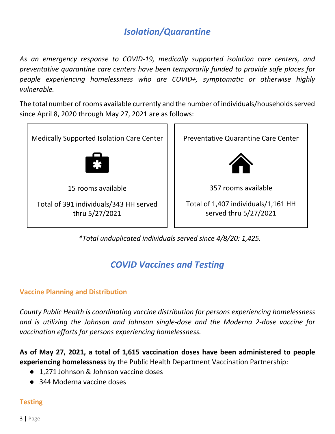## *Isolation/Quarantine*

*As an emergency response to COVID-19, medically supported isolation care centers, and preventative quarantine care centers have been temporarily funded to provide safe places for people experiencing homelessness who are COVID+, symptomatic or otherwise highly vulnerable.*

The total number of rooms available currently and the number of individuals/households served since April 8, 2020 through May 27, 2021 are as follows:



*\*Total unduplicated individuals served since 4/8/20: 1,425.* 

## *COVID Vaccines and Testing*

#### **Vaccine Planning and Distribution**

*County Public Health is coordinating vaccine distribution for persons experiencing homelessness and is utilizing the Johnson and Johnson single-dose and the Moderna 2-dose vaccine for vaccination efforts for persons experiencing homelessness.* 

**As of May 27, 2021, a total of 1,615 vaccination doses have been administered to people experiencing homelessness** by the Public Health Department Vaccination Partnership:

- 1.271 Johnson & Johnson vaccine doses
- 344 Moderna vaccine doses

#### **Testing**